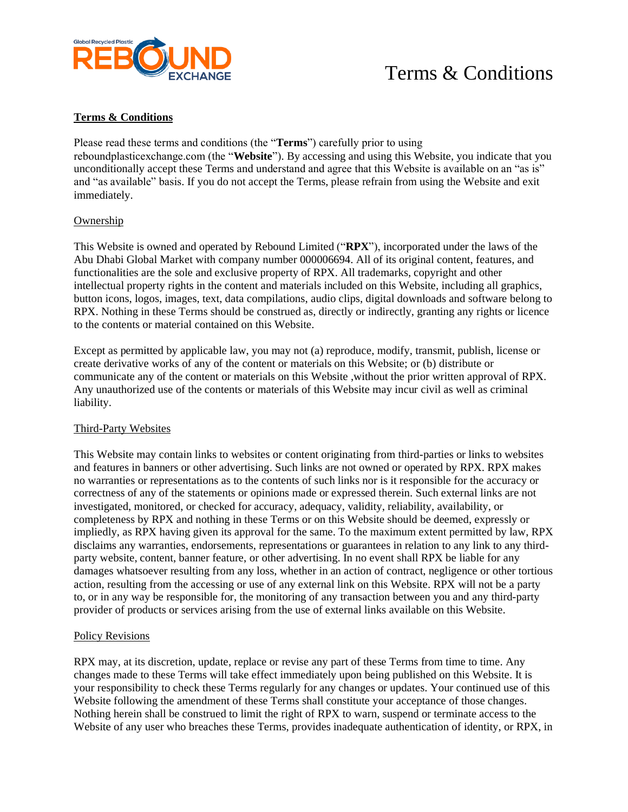

## Terms & Conditions

### **Terms & Conditions**

Please read these terms and conditions (the "**Terms**") carefully prior to using reboundplasticexchange.com (the "**Website**"). By accessing and using this Website, you indicate that you unconditionally accept these Terms and understand and agree that this Website is available on an "as is" and "as available" basis. If you do not accept the Terms, please refrain from using the Website and exit immediately.

#### Ownership

This Website is owned and operated by Rebound Limited ("**RPX**"), incorporated under the laws of the Abu Dhabi Global Market with company number 000006694. All of its original content, features, and functionalities are the sole and exclusive property of RPX. All trademarks, copyright and other intellectual property rights in the content and materials included on this Website, including all graphics, button icons, logos, images, text, data compilations, audio clips, digital downloads and software belong to RPX. Nothing in these Terms should be construed as, directly or indirectly, granting any rights or licence to the contents or material contained on this Website.

Except as permitted by applicable law, you may not (a) reproduce, modify, transmit, publish, license or create derivative works of any of the content or materials on this Website; or (b) distribute or communicate any of the content or materials on this Website ,without the prior written approval of RPX. Any unauthorized use of the contents or materials of this Website may incur civil as well as criminal liability.

#### Third-Party Websites

This Website may contain links to websites or content originating from third-parties or links to websites and features in banners or other advertising. Such links are not owned or operated by RPX. RPX makes no warranties or representations as to the contents of such links nor is it responsible for the accuracy or correctness of any of the statements or opinions made or expressed therein. Such external links are not investigated, monitored, or checked for accuracy, adequacy, validity, reliability, availability, or completeness by RPX and nothing in these Terms or on this Website should be deemed, expressly or impliedly, as RPX having given its approval for the same. To the maximum extent permitted by law, RPX disclaims any warranties, endorsements, representations or guarantees in relation to any link to any thirdparty website, content, banner feature, or other advertising. In no event shall RPX be liable for any damages whatsoever resulting from any loss, whether in an action of contract, negligence or other tortious action, resulting from the accessing or use of any external link on this Website. RPX will not be a party to, or in any way be responsible for, the monitoring of any transaction between you and any third-party provider of products or services arising from the use of external links available on this Website.

#### Policy Revisions

RPX may, at its discretion, update, replace or revise any part of these Terms from time to time. Any changes made to these Terms will take effect immediately upon being published on this Website. It is your responsibility to check these Terms regularly for any changes or updates. Your continued use of this Website following the amendment of these Terms shall constitute your acceptance of those changes. Nothing herein shall be construed to limit the right of RPX to warn, suspend or terminate access to the Website of any user who breaches these Terms, provides inadequate authentication of identity, or RPX, in